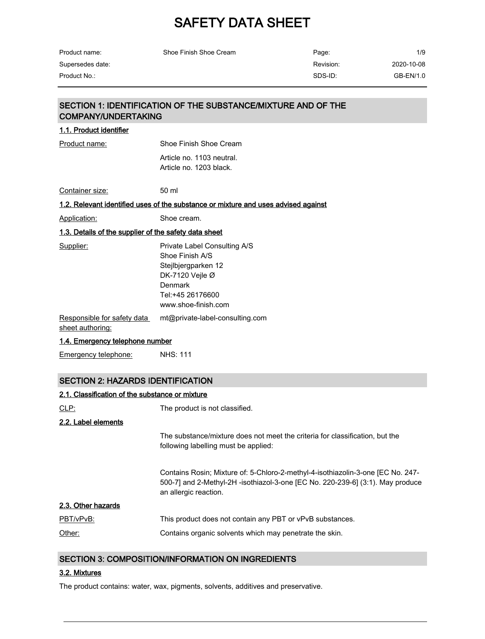| Product name:    | Shoe Finish Shoe Cream | Page:     | 1/9        |
|------------------|------------------------|-----------|------------|
| Supersedes date: |                        | Revision: | 2020-10-08 |
| Product No.:     |                        | SDS-ID:   | GB-EN/1.0  |

# SECTION 1: IDENTIFICATION OF THE SUBSTANCE/MIXTURE AND OF THE COMPANY/UNDERTAKING

| Shoe Finish Shoe Cream                                                                                                                          |
|-------------------------------------------------------------------------------------------------------------------------------------------------|
| Article no. 1103 neutral.<br>Article no. 1203 black.                                                                                            |
| 50 ml                                                                                                                                           |
| 1.2. Relevant identified uses of the substance or mixture and uses advised against                                                              |
| Shoe cream.                                                                                                                                     |
| <u>1.3. Details of the supplier of the safety data sheet</u>                                                                                    |
| Private Label Consulting A/S<br>Shoe Finish A/S<br>Stejlbjergparken 12<br>DK-7120 Vejle Ø<br>Denmark<br>Tel:+45 26176600<br>www.shoe-finish.com |
| mt@private-label-consulting.com<br><u>1.4. Emergency telephone number</u>                                                                       |
|                                                                                                                                                 |

Emergency telephone: NHS: 111

# SECTION 2: HAZARDS IDENTIFICATION

| 2.1. Classification of the substance or mixture |                                                                                                                                                                                            |  |  |  |
|-------------------------------------------------|--------------------------------------------------------------------------------------------------------------------------------------------------------------------------------------------|--|--|--|
| CLP:                                            | The product is not classified.                                                                                                                                                             |  |  |  |
| 2.2. Label elements                             |                                                                                                                                                                                            |  |  |  |
|                                                 | The substance/mixture does not meet the criteria for classification, but the<br>following labelling must be applied:                                                                       |  |  |  |
|                                                 | Contains Rosin; Mixture of: 5-Chloro-2-methyl-4-isothiazolin-3-one [EC No. 247-<br>500-7] and 2-Methyl-2H -isothiazol-3-one [EC No. 220-239-6] (3:1). May produce<br>an allergic reaction. |  |  |  |
| 2.3. Other hazards                              |                                                                                                                                                                                            |  |  |  |
| PBT/vPvB:                                       | This product does not contain any PBT or vPvB substances.                                                                                                                                  |  |  |  |
| Other:                                          | Contains organic solvents which may penetrate the skin.                                                                                                                                    |  |  |  |

### SECTION 3: COMPOSITION/INFORMATION ON INGREDIENTS

### 3.2. Mixtures

The product contains: water, wax, pigments, solvents, additives and preservative.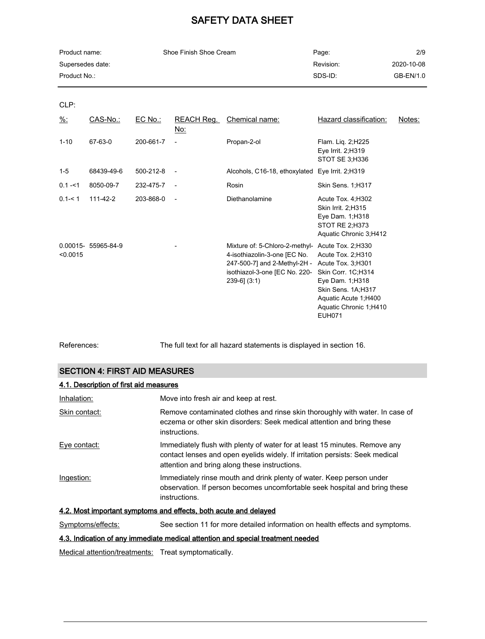| Product name:    | Shoe Finish Shoe Cream | Page:     | 2/9        |
|------------------|------------------------|-----------|------------|
| Supersedes date: |                        | Revision: | 2020-10-08 |
| Product No.:     |                        | SDS-ID:   | GB-EN/1.0  |

CLP:

| $\frac{9}{6}$ : | CAS-No.:            | $EC$ No.: | REACH Reg.<br><u>No:</u> | Chemical name:                                                                                                                                                         | Hazard classification:                                                                                                                                                        | Notes: |
|-----------------|---------------------|-----------|--------------------------|------------------------------------------------------------------------------------------------------------------------------------------------------------------------|-------------------------------------------------------------------------------------------------------------------------------------------------------------------------------|--------|
| $1 - 10$        | 67-63-0             | 200-661-7 |                          | Propan-2-ol                                                                                                                                                            | Flam. Lig. 2; H225<br>Eye Irrit. 2;H319<br>STOT SE 3;H336                                                                                                                     |        |
| $1 - 5$         | 68439-49-6          | 500-212-8 |                          | Alcohols, C16-18, ethoxylated Eye Irrit. 2;H319                                                                                                                        |                                                                                                                                                                               |        |
| $0.1 - 51$      | 8050-09-7           | 232-475-7 |                          | Rosin                                                                                                                                                                  | Skin Sens. 1;H317                                                                                                                                                             |        |
| $0.1 - 5.1$     | $111 - 42 - 2$      | 203-868-0 |                          | Diethanolamine                                                                                                                                                         | Acute Tox. 4, H302<br>Skin Irrit. 2;H315<br>Eye Dam. 1; H318<br>STOT RE 2; H373<br>Aquatic Chronic 3, H412                                                                    |        |
| < 0.0015        | 0.00015- 55965-84-9 |           |                          | Mixture of: 5-Chloro-2-methyl- Acute Tox. 2;H330<br>4-isothiazolin-3-one [EC No.<br>247-500-7] and 2-Methyl-2H -<br>isothiazol-3-one [EC No. 220-<br>$239-6$ ] $(3:1)$ | Acute Tox. 2; H310<br>Acute Tox. 3; H301<br>Skin Corr. 1C;H314<br>Eye Dam. 1; H318<br>Skin Sens. 1A;H317<br>Aquatic Acute 1; H400<br>Aquatic Chronic 1, H410<br><b>EUH071</b> |        |

References: The full text for all hazard statements is displayed in section 16.

# SECTION 4: FIRST AID MEASURES

| 4.1. Description of first aid measures                           |                                                                                                                                                                                                             |  |  |
|------------------------------------------------------------------|-------------------------------------------------------------------------------------------------------------------------------------------------------------------------------------------------------------|--|--|
| Inhalation:                                                      | Move into fresh air and keep at rest.                                                                                                                                                                       |  |  |
| Skin contact:                                                    | Remove contaminated clothes and rinse skin thoroughly with water. In case of<br>eczema or other skin disorders: Seek medical attention and bring these<br>instructions.                                     |  |  |
| Eye contact:                                                     | Immediately flush with plenty of water for at least 15 minutes. Remove any<br>contact lenses and open eyelids widely. If irritation persists: Seek medical<br>attention and bring along these instructions. |  |  |
| Ingestion:                                                       | Immediately rinse mouth and drink plenty of water. Keep person under<br>observation. If person becomes uncomfortable seek hospital and bring these<br>instructions.                                         |  |  |
| 4.2. Most important symptoms and effects, both acute and delayed |                                                                                                                                                                                                             |  |  |

Symptoms/effects: See section 11 for more detailed information on health effects and symptoms.

# 4.3. Indication of any immediate medical attention and special treatment needed

Medical attention/treatments: Treat symptomatically.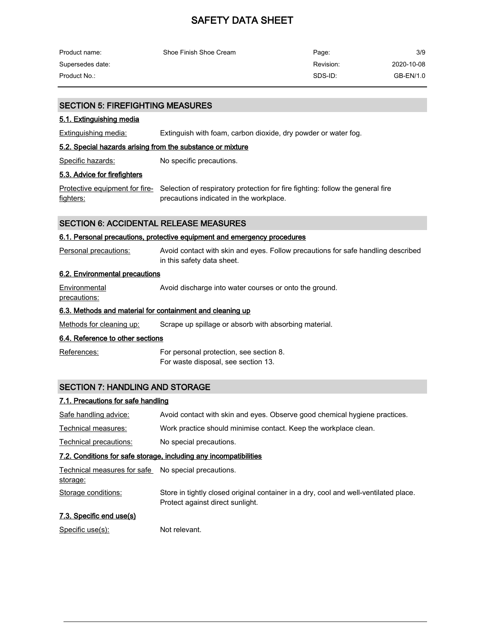| Product name:    | Shoe Finish Shoe Cream | Page:     | 3/9        |
|------------------|------------------------|-----------|------------|
| Supersedes date: |                        | Revision: | 2020-10-08 |
| Product No.:     |                        | SDS-ID:   | GB-EN/1.0  |

#### SECTION 5: FIREFIGHTING MEASURES

#### 5.1. Extinguishing media

Extinguishing media: Extinguish with foam, carbon dioxide, dry powder or water fog.

#### 5.2. Special hazards arising from the substance or mixture

Specific hazards: No specific precautions.

#### 5.3. Advice for firefighters

<u>Protective equipment for fire-</u> Selection of respiratory protection for fire fighting: follow the general fire fighters: precautions indicated in the workplace.

### SECTION 6: ACCIDENTAL RELEASE MEASURES

#### 6.1. Personal precautions, protective equipment and emergency procedures

Personal precautions: Avoid contact with skin and eyes. Follow precautions for safe handling described in this safety data sheet.

### 6.2. Environmental precautions

**Environmental** precautions: Avoid discharge into water courses or onto the ground.

# 6.3. Methods and material for containment and cleaning up

Methods for cleaning up: Scrape up spillage or absorb with absorbing material.

#### 6.4. Reference to other sections

References: For personal protection, see section 8. For waste disposal, see section 13.

### SECTION 7: HANDLING AND STORAGE

#### 7.1. Precautions for safe handling

| Safe handling advice:                                           | Avoid contact with skin and eyes. Observe good chemical hygiene practices.                                               |
|-----------------------------------------------------------------|--------------------------------------------------------------------------------------------------------------------------|
| Technical measures:                                             | Work practice should minimise contact. Keep the workplace clean.                                                         |
| Technical precautions:                                          | No special precautions.                                                                                                  |
|                                                                 | 7.2. Conditions for safe storage, including any incompatibilities                                                        |
| Technical measures for safe No special precautions.<br>storage: |                                                                                                                          |
| Storage conditions:                                             | Store in tightly closed original container in a dry, cool and well-ventilated place.<br>Protect against direct sunlight. |
| 7.3. Specific end use(s)                                        |                                                                                                                          |
| Specific use(s):                                                | Not relevant.                                                                                                            |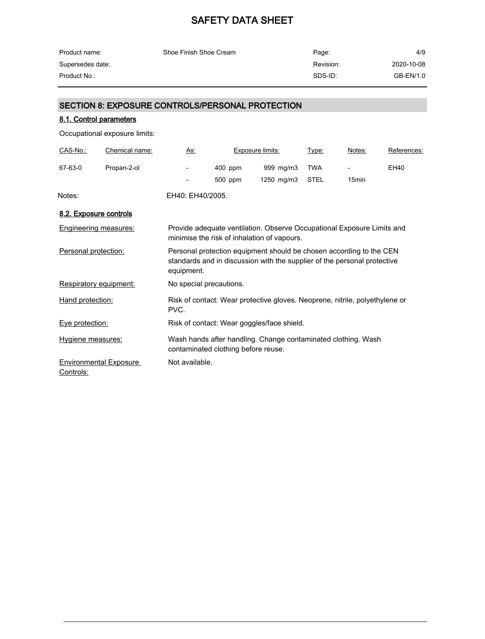| Product name:    | Shoe Finish Shoe Cream | Page:     | 4/9        |
|------------------|------------------------|-----------|------------|
| Supersedes date: |                        | Revision: | 2020-10-08 |
| Product No.:     |                        | SDS-ID:   | GB-EN/1.0  |

# SECTION 8: EXPOSURE CONTROLS/PERSONAL PROTECTION

# 8.1. Control parameters

Occupational exposure limits:

| CAS-No.:                     | Chemical name:                | As:                                                                                                                                                           |                                     | Exposure limits:                                                                                                      | Type:       | Notes:            | References: |
|------------------------------|-------------------------------|---------------------------------------------------------------------------------------------------------------------------------------------------------------|-------------------------------------|-----------------------------------------------------------------------------------------------------------------------|-------------|-------------------|-------------|
| 67-63-0                      | Propan-2-ol                   |                                                                                                                                                               | $400$ ppm                           | 999 mg/m3                                                                                                             | <b>TWA</b>  |                   | EH40        |
|                              |                               |                                                                                                                                                               | 500 ppm                             | 1250 mg/m3                                                                                                            | <b>STEL</b> | 15 <sub>min</sub> |             |
| Notes:                       |                               | EH40: EH40/2005.                                                                                                                                              |                                     |                                                                                                                       |             |                   |             |
| 8.2. Exposure controls       |                               |                                                                                                                                                               |                                     |                                                                                                                       |             |                   |             |
| <b>Engineering measures:</b> |                               |                                                                                                                                                               |                                     | Provide adequate ventilation. Observe Occupational Exposure Limits and<br>minimise the risk of inhalation of vapours. |             |                   |             |
| Personal protection:         |                               | Personal protection equipment should be chosen according to the CEN<br>standards and in discussion with the supplier of the personal protective<br>equipment. |                                     |                                                                                                                       |             |                   |             |
| Respiratory equipment:       |                               |                                                                                                                                                               | No special precautions.             |                                                                                                                       |             |                   |             |
| Hand protection:             |                               | Risk of contact: Wear protective gloves. Neoprene, nitrile, polyethylene or<br>PVC.                                                                           |                                     |                                                                                                                       |             |                   |             |
| Eye protection:              |                               |                                                                                                                                                               |                                     | Risk of contact: Wear goggles/face shield.                                                                            |             |                   |             |
| Hygiene measures:            |                               |                                                                                                                                                               | contaminated clothing before reuse. | Wash hands after handling. Change contaminated clothing. Wash                                                         |             |                   |             |
| Controls:                    | <b>Environmental Exposure</b> | Not available.                                                                                                                                                |                                     |                                                                                                                       |             |                   |             |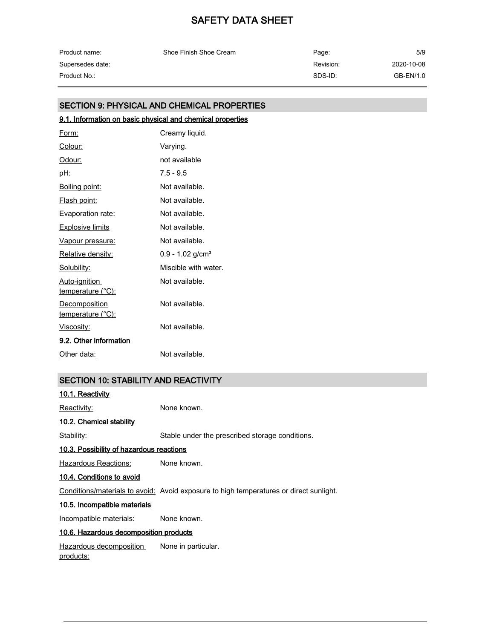| Product name:    | Shoe Finish Shoe Cream | Page:     | 5/9        |
|------------------|------------------------|-----------|------------|
| Supersedes date: |                        | Revision: | 2020-10-08 |
| Product No.:     |                        | SDS-ID:   | GB-EN/1.0  |

# SECTION 9: PHYSICAL AND CHEMICAL PROPERTIES

# 9.1. Information on basic physical and chemical properties

| Form:                                     | Creamy liquid.                 |
|-------------------------------------------|--------------------------------|
| Colour:                                   | Varying.                       |
| <u>Odour:</u>                             | not available                  |
| <u>pH:</u>                                | $7.5 - 9.5$                    |
| <u>Boiling point:</u>                     | Not available.                 |
| <u>Flash point:</u>                       | Not available.                 |
| <b>Evaporation rate:</b>                  | Not available.                 |
| <b>Explosive limits</b>                   | Not available.                 |
| Vapour pressure:                          | Not available.                 |
| Relative density:                         | $0.9 - 1.02$ g/cm <sup>3</sup> |
| Solubility:                               | Miscible with water.           |
| <u>Auto-ignition</u><br>temperature (°C): | Not available.                 |
| Decomposition<br>temperature (°C):        | Not available.                 |
| <u>Viscosity:</u>                         | Not available.                 |
| 9.2. Other information                    |                                |
| Other data:                               | Not available.                 |

# SECTION 10: STABILITY AND REACTIVITY

| 10.1. Reactivity                            |                                                                                        |
|---------------------------------------------|----------------------------------------------------------------------------------------|
| Reactivity:                                 | None known.                                                                            |
| 10.2. Chemical stability                    |                                                                                        |
| Stability:                                  | Stable under the prescribed storage conditions.                                        |
| 10.3. Possibility of hazardous reactions    |                                                                                        |
| Hazardous Reactions:                        | None known.                                                                            |
| 10.4. Conditions to avoid                   |                                                                                        |
|                                             | Conditions/materials to avoid: Avoid exposure to high temperatures or direct sunlight. |
| 10.5. Incompatible materials                |                                                                                        |
| Incompatible materials:                     | None known.                                                                            |
| 10.6. Hazardous decomposition products      |                                                                                        |
| Hazardous decomposition<br><u>products:</u> | None in particular.                                                                    |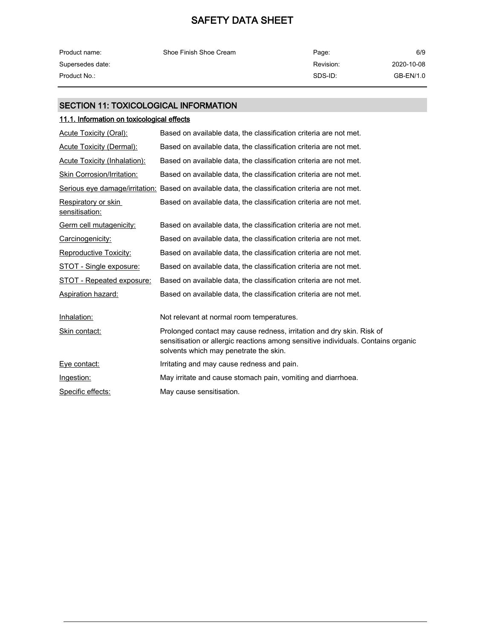| Product name:    | Shoe Finish Shoe Cream | Page:     | 6/9        |
|------------------|------------------------|-----------|------------|
| Supersedes date: |                        | Revision: | 2020-10-08 |
| Product No.:     |                        | SDS-ID:   | GB-EN/1.0  |

# SECTION 11: TOXICOLOGICAL INFORMATION

# 11.1. Information on toxicological effects

| <b>Acute Toxicity (Oral):</b>         | Based on available data, the classification criteria are not met.                                                                                                                                    |
|---------------------------------------|------------------------------------------------------------------------------------------------------------------------------------------------------------------------------------------------------|
| <b>Acute Toxicity (Dermal):</b>       | Based on available data, the classification criteria are not met.                                                                                                                                    |
| Acute Toxicity (Inhalation):          | Based on available data, the classification criteria are not met.                                                                                                                                    |
| Skin Corrosion/Irritation:            | Based on available data, the classification criteria are not met.                                                                                                                                    |
|                                       | Serious eye damage/irritation: Based on available data, the classification criteria are not met.                                                                                                     |
| Respiratory or skin<br>sensitisation: | Based on available data, the classification criteria are not met.                                                                                                                                    |
| Germ cell mutagenicity:               | Based on available data, the classification criteria are not met.                                                                                                                                    |
| Carcinogenicity:                      | Based on available data, the classification criteria are not met.                                                                                                                                    |
| Reproductive Toxicity:                | Based on available data, the classification criteria are not met.                                                                                                                                    |
| STOT - Single exposure:               | Based on available data, the classification criteria are not met.                                                                                                                                    |
| STOT - Repeated exposure:             | Based on available data, the classification criteria are not met.                                                                                                                                    |
| Aspiration hazard:                    | Based on available data, the classification criteria are not met.                                                                                                                                    |
| Inhalation:                           | Not relevant at normal room temperatures.                                                                                                                                                            |
| Skin contact:                         | Prolonged contact may cause redness, irritation and dry skin. Risk of<br>sensitisation or allergic reactions among sensitive individuals. Contains organic<br>solvents which may penetrate the skin. |
| Eye contact:                          | Irritating and may cause redness and pain.                                                                                                                                                           |
| Ingestion:                            | May irritate and cause stomach pain, vomiting and diarrhoea.                                                                                                                                         |
| Specific effects:                     | May cause sensitisation.                                                                                                                                                                             |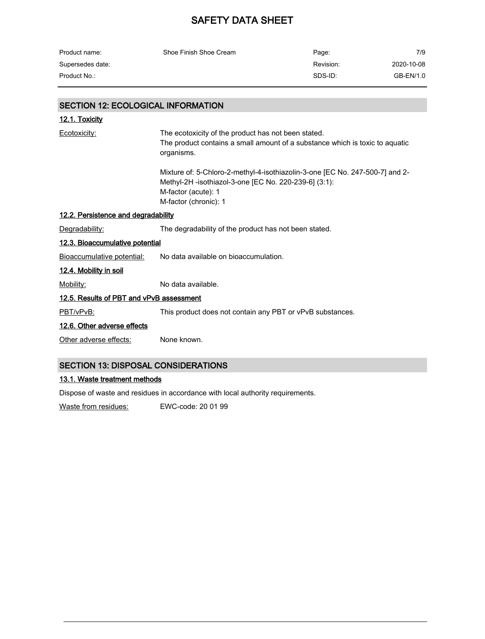| Product name:    | Shoe Finish Shoe Cream | Page:     | 7/9        |
|------------------|------------------------|-----------|------------|
| Supersedes date: |                        | Revision: | 2020-10-08 |
| Product No.:     |                        | SDS-ID:   | GB-EN/1.0  |

# SECTION 12: ECOLOGICAL INFORMATION

| 12.1. Toxicity                             |                                                                                                                                                                                       |  |
|--------------------------------------------|---------------------------------------------------------------------------------------------------------------------------------------------------------------------------------------|--|
| Ecotoxicity:                               | The ecotoxicity of the product has not been stated.<br>The product contains a small amount of a substance which is toxic to aquatic<br>organisms.                                     |  |
|                                            | Mixture of: 5-Chloro-2-methyl-4-isothiazolin-3-one [EC No. 247-500-7] and 2-<br>Methyl-2H -isothiazol-3-one [EC No. 220-239-6] (3:1):<br>M-factor (acute): 1<br>M-factor (chronic): 1 |  |
| 12.2. Persistence and degradability        |                                                                                                                                                                                       |  |
| Degradability:                             | The degradability of the product has not been stated.                                                                                                                                 |  |
| 12.3. Bioaccumulative potential            |                                                                                                                                                                                       |  |
| Bioaccumulative potential:                 | No data available on bioaccumulation.                                                                                                                                                 |  |
| 12.4. Mobility in soil                     |                                                                                                                                                                                       |  |
| Mobility:                                  | No data available.                                                                                                                                                                    |  |
| 12.5. Results of PBT and vPvB assessment   |                                                                                                                                                                                       |  |
| PBT/vPvB:                                  | This product does not contain any PBT or vPvB substances.                                                                                                                             |  |
| 12.6. Other adverse effects                |                                                                                                                                                                                       |  |
| Other adverse effects:                     | None known.                                                                                                                                                                           |  |
| <b>SECTION 13: DISPOSAL CONSIDERATIONS</b> |                                                                                                                                                                                       |  |

# 13.1. Waste treatment methods

Dispose of waste and residues in accordance with local authority requirements.

Waste from residues: EWC-code: 20 01 99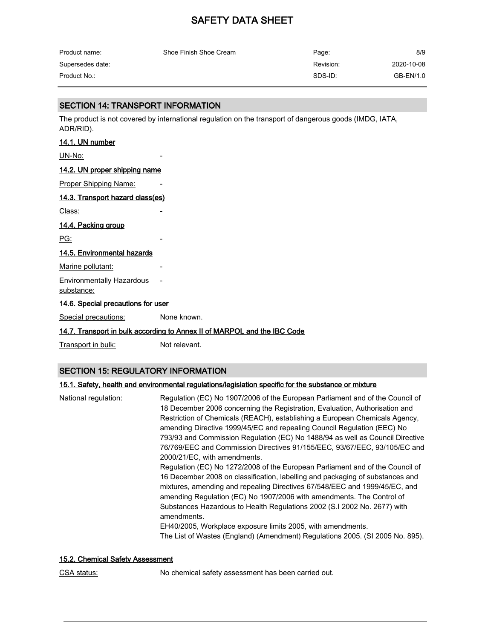| Product name:    | Shoe Finish Shoe Cream | Page:     | 8/9        |
|------------------|------------------------|-----------|------------|
| Supersedes date: |                        | Revision: | 2020-10-08 |
| Product No.:     |                        | SDS-ID:   | GB-EN/1.0  |

### SECTION 14: TRANSPORT INFORMATION

The product is not covered by international regulation on the transport of dangerous goods (IMDG, IATA, ADR/RID).

### 14.1. UN number

UN-No:

#### 14.2. UN proper shipping name

Proper Shipping Name:

#### 14.3. Transport hazard class(es)

Class:

### 14.4. Packing group

PG:

### 14.5. Environmental hazards

Marine pollutant:

# Environmentally Hazardous -

substance:

#### 14.6. Special precautions for user

Special precautions: None known.

### 14.7. Transport in bulk according to Annex II of MARPOL and the IBC Code

Transport in bulk: Not relevant.

### SECTION 15: REGULATORY INFORMATION

### 15.1. Safety, health and environmental regulations/legislation specific for the substance or mixture

| National regulation: | Regulation (EC) No 1907/2006 of the European Parliament and of the Council of<br>18 December 2006 concerning the Registration, Evaluation, Authorisation and<br>Restriction of Chemicals (REACH), establishing a European Chemicals Agency,<br>amending Directive 1999/45/EC and repealing Council Regulation (EEC) No<br>793/93 and Commission Regulation (EC) No 1488/94 as well as Council Directive<br>76/769/EEC and Commission Directives 91/155/EEC, 93/67/EEC, 93/105/EC and<br>2000/21/EC, with amendments.<br>Regulation (EC) No 1272/2008 of the European Parliament and of the Council of<br>16 December 2008 on classification, labelling and packaging of substances and<br>mixtures, amending and repealing Directives 67/548/EEC and 1999/45/EC, and<br>amending Regulation (EC) No 1907/2006 with amendments. The Control of<br>Substances Hazardous to Health Regulations 2002 (S.I 2002 No. 2677) with<br>amendments.<br>EH40/2005, Workplace exposure limits 2005, with amendments. |
|----------------------|---------------------------------------------------------------------------------------------------------------------------------------------------------------------------------------------------------------------------------------------------------------------------------------------------------------------------------------------------------------------------------------------------------------------------------------------------------------------------------------------------------------------------------------------------------------------------------------------------------------------------------------------------------------------------------------------------------------------------------------------------------------------------------------------------------------------------------------------------------------------------------------------------------------------------------------------------------------------------------------------------------|
|                      | The List of Wastes (England) (Amendment) Regulations 2005. (SI 2005 No. 895).                                                                                                                                                                                                                                                                                                                                                                                                                                                                                                                                                                                                                                                                                                                                                                                                                                                                                                                           |

### 15.2. Chemical Safety Assessment

CSA status: No chemical safety assessment has been carried out.